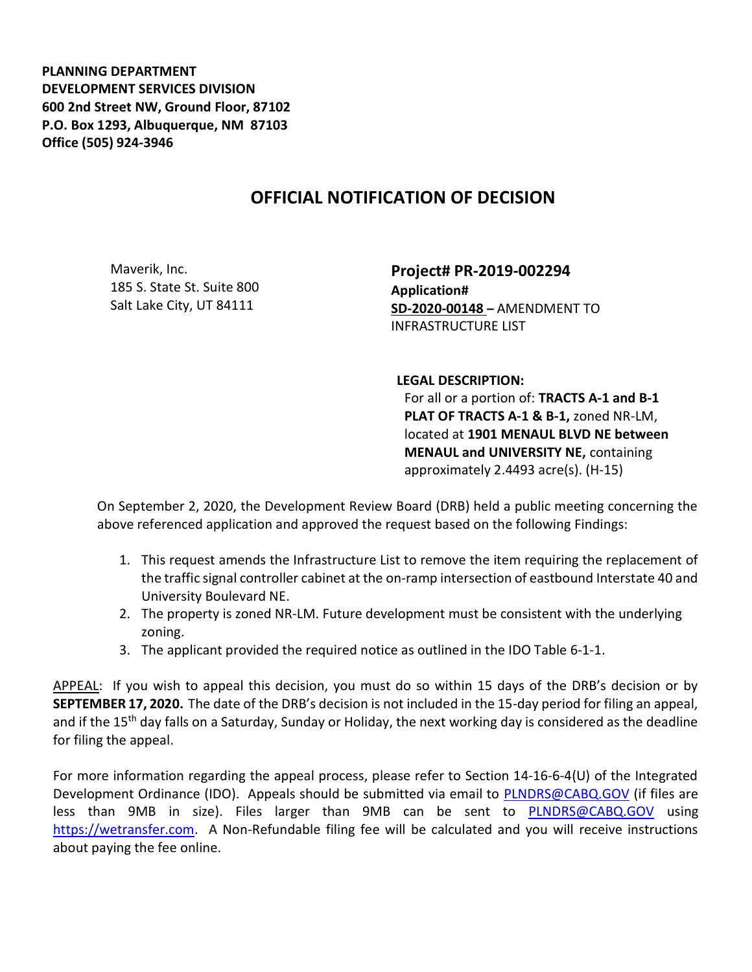PLANNING DEPARTMENT DEVELOPMENT SERVICES DIVISION 600 2nd Street NW, Ground Floor, 87102 P.O. Box 1293, Albuquerque, NM 87103 Office (505) 924-3946

## OFFICIAL NOTIFICATION OF DECISION

Maverik, Inc. 185 S. State St. Suite 800 Salt Lake City, UT 84111

Project# PR-2019-002294 Application# SD-2020-00148 – AMENDMENT TO INFRASTRUCTURE LIST

LEGAL DESCRIPTION:

For all or a portion of: TRACTS A-1 and B-1 PLAT OF TRACTS A-1 & B-1, zoned NR-LM, located at 1901 MENAUL BLVD NE between MENAUL and UNIVERSITY NE, containing approximately 2.4493 acre(s). (H-15)

On September 2, 2020, the Development Review Board (DRB) held a public meeting concerning the above referenced application and approved the request based on the following Findings:

- 1. This request amends the Infrastructure List to remove the item requiring the replacement of the traffic signal controller cabinet at the on-ramp intersection of eastbound Interstate 40 and University Boulevard NE.
- 2. The property is zoned NR-LM. Future development must be consistent with the underlying zoning.
- 3. The applicant provided the required notice as outlined in the IDO Table 6-1-1.

APPEAL: If you wish to appeal this decision, you must do so within 15 days of the DRB's decision or by SEPTEMBER 17, 2020. The date of the DRB's decision is not included in the 15-day period for filing an appeal, and if the 15<sup>th</sup> day falls on a Saturday, Sunday or Holiday, the next working day is considered as the deadline for filing the appeal.

For more information regarding the appeal process, please refer to Section 14-16-6-4(U) of the Integrated Development Ordinance (IDO). Appeals should be submitted via email to PLNDRS@CABQ.GOV (if files are less than 9MB in size). Files larger than 9MB can be sent to PLNDRS@CABQ.GOV using https://wetransfer.com. A Non-Refundable filing fee will be calculated and you will receive instructions about paying the fee online.